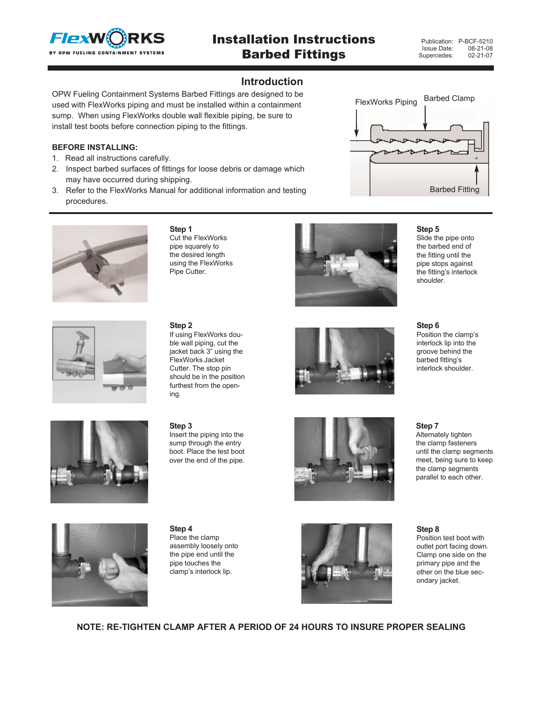

# Installation Instructions Barbed Fittings

#### **Introduction**

OPW Fueling Containment Systems Barbed Fittings are designed to be used with FlexWorks piping and must be installed within a containment sump. When using FlexWorks double wall flexible piping, be sure to install test boots before connection piping to the fittings.

#### **BEFORE INSTALLING:**

- 1. Read all instructions carefully.
- 2. Inspect barbed surfaces of fittings for loose debris or damage which may have occurred during shipping.
- 3. Refer to the FlexWorks Manual for additional information and testing procedures.

**Step 1**

Cut the FlexWorks





## pipe squarely to the desired length using the FlexWorks Pipe Cutter.



#### **Step 5**

Slide the pipe onto the barbed end of the fitting until the pipe stops against the fitting's interlock shoulder.



#### **Step 2**

If using FlexWorks double wall piping, cut the jacket back 3" using the FlexWorks Jacket Cutter. The stop pin should be in the position furthest from the opening.



**Step 6** Position the clamp's interlock lip into the groove behind the barbed fitting's interlock shoulder.



**Step 3** Insert the piping into the sump through the entry boot. Place the test boot over the end of the pipe.





**Step 4** Place the clamp assembly loosely onto the pipe end until the pipe touches the clamp's interlock lip.



**Step 7** Alternately tighten the clamp fasteners until the clamp segments meet, being sure to keep the clamp segments parallel to each other.

#### **Step 8** Position test boot with outlet port facing down. Clamp one side on the primary pipe and the other on the blue secondary jacket.

**NOTE: RE-TIGHTEN CLAMP AFTER A PERIOD OF 24 HOURS TO INSURE PROPER SEALING**